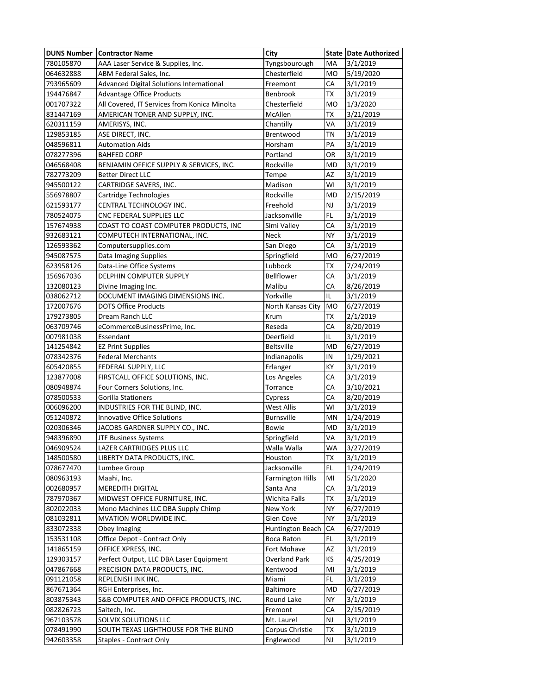| <b>DUNS Number</b> | <b>Contractor Name</b>                       | City                    |           | State Date Authorized |
|--------------------|----------------------------------------------|-------------------------|-----------|-----------------------|
| 780105870          | AAA Laser Service & Supplies, Inc.           | Tyngsbourough           | MA        | 3/1/2019              |
| 064632888          | ABM Federal Sales, Inc.                      | Chesterfield            | MO        | 5/19/2020             |
| 793965609          | Advanced Digital Solutions International     | Freemont                | CA        | 3/1/2019              |
| 194476847          | <b>Advantage Office Products</b>             | Benbrook                | <b>TX</b> | 3/1/2019              |
| 001707322          | All Covered, IT Services from Konica Minolta | Chesterfield            | <b>MO</b> | 1/3/2020              |
| 831447169          | AMERICAN TONER AND SUPPLY, INC.              | McAllen                 | <b>TX</b> | 3/21/2019             |
| 620311159          | AMERISYS, INC.                               | Chantilly               | VA        | 3/1/2019              |
| 129853185          | ASE DIRECT, INC.                             | Brentwood               | <b>TN</b> | 3/1/2019              |
| 048596811          | <b>Automation Aids</b>                       | Horsham                 | PA        | 3/1/2019              |
| 078277396          | <b>BAHFED CORP</b>                           | Portland                | OR        | 3/1/2019              |
| 046568408          | BENJAMIN OFFICE SUPPLY & SERVICES, INC.      | Rockville               | MD        | 3/1/2019              |
| 782773209          | <b>Better Direct LLC</b>                     | Tempe                   | AZ        | 3/1/2019              |
| 945500122          | CARTRIDGE SAVERS, INC.                       | Madison                 | W١        | 3/1/2019              |
| 556978807          | Cartridge Technologies                       | Rockville               | MD        | 2/15/2019             |
| 621593177          | CENTRAL TECHNOLOGY INC.                      | Freehold                | NJ        | 3/1/2019              |
| 780524075          | CNC FEDERAL SUPPLIES LLC                     | Jacksonville            | FL        | 3/1/2019              |
| 157674938          | COAST TO COAST COMPUTER PRODUCTS, INC        | Simi Valley             | СA        | 3/1/2019              |
| 932683121          | COMPUTECH INTERNATIONAL, INC.                | Neck                    | <b>NY</b> | 3/1/2019              |
| 126593362          | Computersupplies.com                         | San Diego               | СA        | 3/1/2019              |
| 945087575          | Data Imaging Supplies                        | Springfield             | <b>MO</b> | 6/27/2019             |
| 623958126          | Data-Line Office Systems                     | Lubbock                 | ТX        | 7/24/2019             |
| 156967036          | DELPHIN COMPUTER SUPPLY                      | Bellflower              | CA        | 3/1/2019              |
| 132080123          | Divine Imaging Inc.                          | Malibu                  | СA        | 8/26/2019             |
| 038062712          | DOCUMENT IMAGING DIMENSIONS INC.             | Yorkville               | IL        | 3/1/2019              |
| 172007676          | <b>DOTS Office Products</b>                  | North Kansas City       | <b>MO</b> | 6/27/2019             |
| 179273805          | Dream Ranch LLC                              | Krum                    | ТX        | 2/1/2019              |
| 063709746          | eCommerceBusinessPrime, Inc.                 | Reseda                  | CA        | 8/20/2019             |
| 007981038          | Essendant                                    | Deerfield               | IL        | 3/1/2019              |
| 141254842          | <b>EZ Print Supplies</b>                     | <b>Beltsville</b>       | <b>MD</b> | 6/27/2019             |
| 078342376          | <b>Federal Merchants</b>                     | Indianapolis            | IN        | 1/29/2021             |
| 605420855          | FEDERAL SUPPLY, LLC                          | Erlanger                | KY        | 3/1/2019              |
| 123877008          | FIRSTCALL OFFICE SOLUTIONS, INC.             | Los Angeles             | CA        | 3/1/2019              |
| 080948874          | Four Corners Solutions, Inc.                 | Torrance                | СA        | 3/10/2021             |
| 078500533          | <b>Gorilla Stationers</b>                    | Cypress                 | СA        | 8/20/2019             |
| 006096200          | INDUSTRIES FOR THE BLIND, INC.               | <b>West Allis</b>       | W١        | 3/1/2019              |
| 051240872          | Innovative Office Solutions                  | <b>Burnsville</b>       | MN        | 1/24/2019             |
| 020306346          | JACOBS GARDNER SUPPLY CO., INC.              | Bowie                   | MD        | 3/1/2019              |
| 948396890          | JTF Business Systems                         | Springfield             | VA        | 3/1/2019              |
| 046909524          | LAZER CARTRIDGES PLUS LLC                    | Walla Walla             | WA        | 3/27/2019             |
| 148500580          | LIBERTY DATA PRODUCTS, INC.                  | Houston                 | ТX        | 3/1/2019              |
| 078677470          | Lumbee Group                                 | Jacksonville            | FL        | 1/24/2019             |
| 080963193          | Maahi, Inc.                                  | <b>Farmington Hills</b> | MI        | 5/1/2020              |
| 002680957          | <b>MEREDITH DIGITAL</b>                      | Santa Ana               | CA        | 3/1/2019              |
| 787970367          | MIDWEST OFFICE FURNITURE, INC.               | Wichita Falls           | TX        | 3/1/2019              |
| 802022033          | Mono Machines LLC DBA Supply Chimp           | New York                | NY        | 6/27/2019             |
| 081032811          | MVATION WORLDWIDE INC.                       | Glen Cove               | NY        | 3/1/2019              |
| 833072338          | Obey Imaging                                 | Huntington Beach        | CA        | 6/27/2019             |
| 153531108          | Office Depot - Contract Only                 | <b>Boca Raton</b>       | FL        | 3/1/2019              |
| 141865159          | OFFICE XPRESS, INC.                          | Fort Mohave             | AZ        | 3/1/2019              |
| 129303157          | Perfect Output, LLC DBA Laser Equipment      | <b>Overland Park</b>    | ΚS        | 4/25/2019             |
| 047867668          | PRECISION DATA PRODUCTS, INC.                | Kentwood                | MI        | 3/1/2019              |
| 091121058          | REPLENISH INK INC.                           | Miami                   | FL        | 3/1/2019              |
| 867671364          | RGH Enterprises, Inc.                        | <b>Baltimore</b>        | MD        | 6/27/2019             |
| 803875343          | S&B COMPUTER AND OFFICE PRODUCTS, INC.       | Round Lake              | NΥ        | 3/1/2019              |
| 082826723          | Saitech, Inc.                                | Fremont                 | СA        | 2/15/2019             |
| 967103578          | SOLVIX SOLUTIONS LLC                         | Mt. Laurel              | NJ        | 3/1/2019              |
| 078491990          | SOUTH TEXAS LIGHTHOUSE FOR THE BLIND         | Corpus Christie         | TX        | 3/1/2019              |
| 942603358          | Staples - Contract Only                      | Englewood               | NJ        | 3/1/2019              |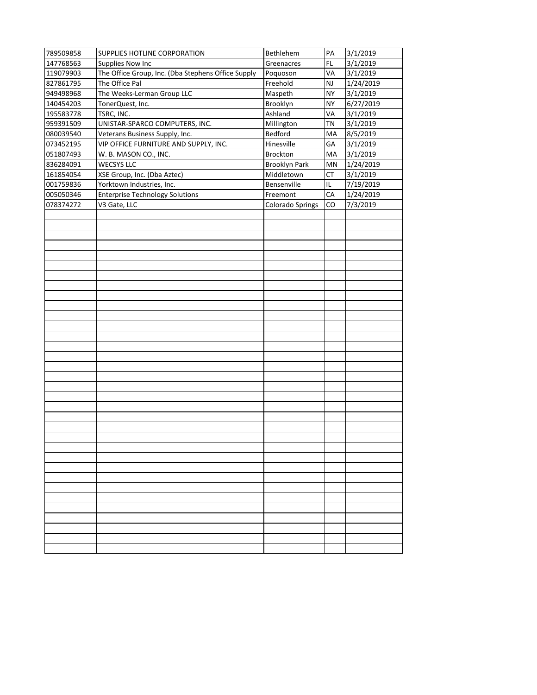| 789509858 | SUPPLIES HOTLINE CORPORATION                       | Bethlehem               | PA        | 3/1/2019  |
|-----------|----------------------------------------------------|-------------------------|-----------|-----------|
| 147768563 | Supplies Now Inc                                   | Greenacres              | FL        | 3/1/2019  |
| 119079903 | The Office Group, Inc. (Dba Stephens Office Supply | Poquoson                | VA        | 3/1/2019  |
| 827861795 | The Office Pal                                     | Freehold                | <b>NJ</b> | 1/24/2019 |
| 949498968 | The Weeks-Lerman Group LLC                         | Maspeth                 | <b>NY</b> | 3/1/2019  |
| 140454203 | TonerQuest, Inc.                                   | Brooklyn                | <b>NY</b> | 6/27/2019 |
| 195583778 | TSRC, INC.                                         | Ashland                 | VA        | 3/1/2019  |
| 959391509 | UNISTAR-SPARCO COMPUTERS, INC.                     | Millington              | <b>TN</b> | 3/1/2019  |
| 080039540 | Veterans Business Supply, Inc.                     | Bedford                 | MA        | 8/5/2019  |
| 073452195 | VIP OFFICE FURNITURE AND SUPPLY, INC.              | Hinesville              | GA        | 3/1/2019  |
| 051807493 | W. B. MASON CO., INC.                              | Brockton                | МA        | 3/1/2019  |
| 836284091 | WECSYS LLC                                         | <b>Brooklyn Park</b>    | MN        | 1/24/2019 |
| 161854054 | XSE Group, Inc. (Dba Aztec)                        | Middletown              | СT        | 3/1/2019  |
| 001759836 | Yorktown Industries, Inc.                          | Bensenville             | IL        | 7/19/2019 |
| 005050346 | <b>Enterprise Technology Solutions</b>             | Freemont                | CA        | 1/24/2019 |
| 078374272 | V3 Gate, LLC                                       | <b>Colorado Springs</b> | CO        | 7/3/2019  |
|           |                                                    |                         |           |           |
|           |                                                    |                         |           |           |
|           |                                                    |                         |           |           |
|           |                                                    |                         |           |           |
|           |                                                    |                         |           |           |
|           |                                                    |                         |           |           |
|           |                                                    |                         |           |           |
|           |                                                    |                         |           |           |
|           |                                                    |                         |           |           |
|           |                                                    |                         |           |           |
|           |                                                    |                         |           |           |
|           |                                                    |                         |           |           |
|           |                                                    |                         |           |           |
|           |                                                    |                         |           |           |
|           |                                                    |                         |           |           |
|           |                                                    |                         |           |           |
|           |                                                    |                         |           |           |
|           |                                                    |                         |           |           |
|           |                                                    |                         |           |           |
|           |                                                    |                         |           |           |
|           |                                                    |                         |           |           |
|           |                                                    |                         |           |           |
|           |                                                    |                         |           |           |
|           |                                                    |                         |           |           |
|           |                                                    |                         |           |           |
|           |                                                    |                         |           |           |
|           |                                                    |                         |           |           |
|           |                                                    |                         |           |           |
|           |                                                    |                         |           |           |
|           |                                                    |                         |           |           |
|           |                                                    |                         |           |           |
|           |                                                    |                         |           |           |
|           |                                                    |                         |           |           |
|           |                                                    |                         |           |           |